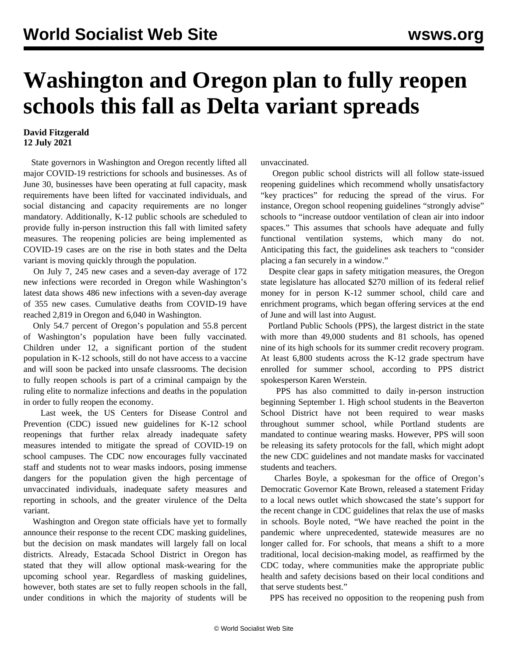## **Washington and Oregon plan to fully reopen schools this fall as Delta variant spreads**

## **David Fitzgerald 12 July 2021**

 State governors in Washington and Oregon recently lifted all major COVID-19 restrictions for schools and businesses. As of June 30, businesses have been operating at full capacity, mask requirements have been lifted for vaccinated individuals, and social distancing and capacity requirements are no longer mandatory. Additionally, K-12 public schools are scheduled to provide fully in-person instruction this fall with limited safety measures. The reopening policies are being implemented as COVID-19 cases are on the rise in both states and the Delta variant is moving quickly through the population.

 On July 7, 245 new cases and a seven-day average of 172 new infections were recorded in Oregon while Washington's latest data shows 486 new infections with a seven-day average of 355 new cases. Cumulative deaths from COVID-19 have reached 2,819 in Oregon and 6,040 in Washington.

 Only 54.7 percent of Oregon's population and 55.8 percent of Washington's population have been fully vaccinated. Children under 12, a significant portion of the student population in K-12 schools, still do not have access to a vaccine and will soon be packed into unsafe classrooms. The decision to fully reopen schools is part of a criminal campaign by the ruling elite to normalize infections and deaths in the population in order to fully reopen the economy.

 Last week, the US Centers for Disease Control and Prevention (CDC) issued new guidelines for K-12 school reopenings that further relax already inadequate safety measures intended to mitigate the spread of COVID-19 on school campuses. The CDC now encourages fully vaccinated staff and students not to wear masks indoors, posing immense dangers for the population given the high percentage of unvaccinated individuals, inadequate safety measures and reporting in schools, and the greater virulence of the Delta variant.

 Washington and Oregon state officials have yet to formally announce their response to the recent CDC masking guidelines, but the decision on mask mandates will largely fall on local districts. Already, Estacada School District in Oregon has stated that they will allow optional mask-wearing for the upcoming school year. Regardless of masking guidelines, however, both states are set to fully reopen schools in the fall, under conditions in which the majority of students will be unvaccinated.

 Oregon public school districts will all follow state-issued reopening guidelines which recommend wholly unsatisfactory "key practices" for reducing the spread of the virus. For instance, Oregon school reopening guidelines "strongly advise" schools to "increase outdoor ventilation of clean air into indoor spaces." This assumes that schools have adequate and fully functional ventilation systems, which many do not. Anticipating this fact, the guidelines ask teachers to "consider placing a fan securely in a window."

 Despite clear gaps in safety mitigation measures, the Oregon state legislature has allocated \$270 million of its federal relief money for in person K-12 summer school, child care and enrichment programs, which began offering services at the end of June and will last into August.

 Portland Public Schools (PPS), the largest district in the state with more than 49,000 students and 81 schools, has opened nine of its high schools for its summer credit recovery program. At least 6,800 students across the K-12 grade spectrum have enrolled for summer school, according to PPS district spokesperson Karen Werstein.

 PPS has also committed to daily in-person instruction beginning September 1. High school students in the Beaverton School District have not been required to wear masks throughout summer school, while Portland students are mandated to continue wearing masks. However, PPS will soon be releasing its safety protocols for the fall, which might adopt the new CDC guidelines and not mandate masks for vaccinated students and teachers.

 Charles Boyle, a spokesman for the office of Oregon's Democratic Governor Kate Brown, released a statement Friday to a local news outlet which showcased the state's support for the recent change in CDC guidelines that relax the use of masks in schools. Boyle noted, "We have reached the point in the pandemic where unprecedented, statewide measures are no longer called for. For schools, that means a shift to a more traditional, local decision-making model, as reaffirmed by the CDC today, where communities make the appropriate public health and safety decisions based on their local conditions and that serve students best."

PPS has received no opposition to the reopening push from